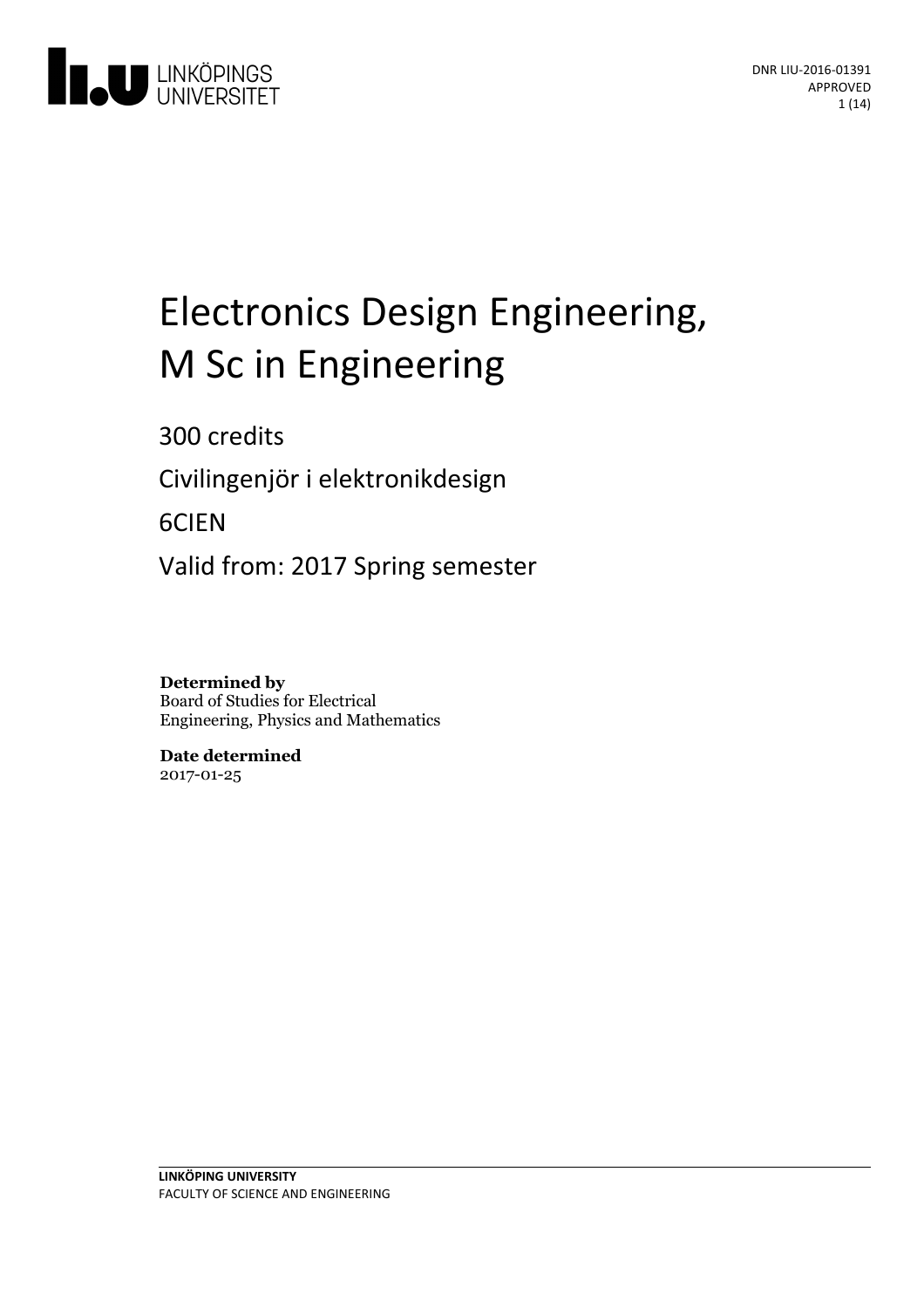

# Electronics Design Engineering, M Sc in Engineering

300 credits

Civilingenjör i elektronikdesign

6CIEN

Valid from: 2017 Spring semester

**Determined by** Board of Studies for Electrical Engineering, Physics and Mathematics

**Date determined** 2017-01-25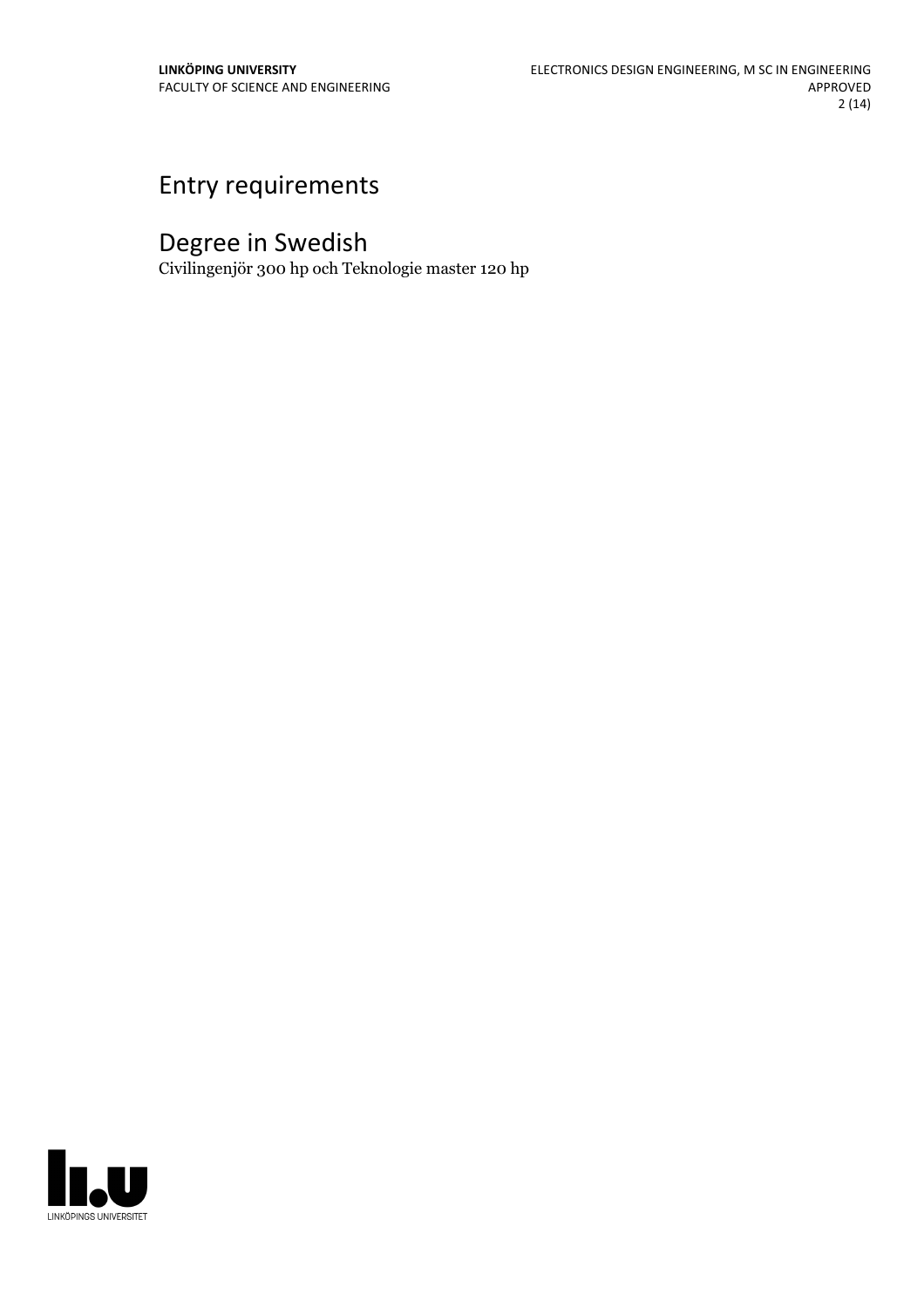# Entry requirements

# Degree in Swedish

Civilingenjör 300 hp och Teknologie master 120 hp

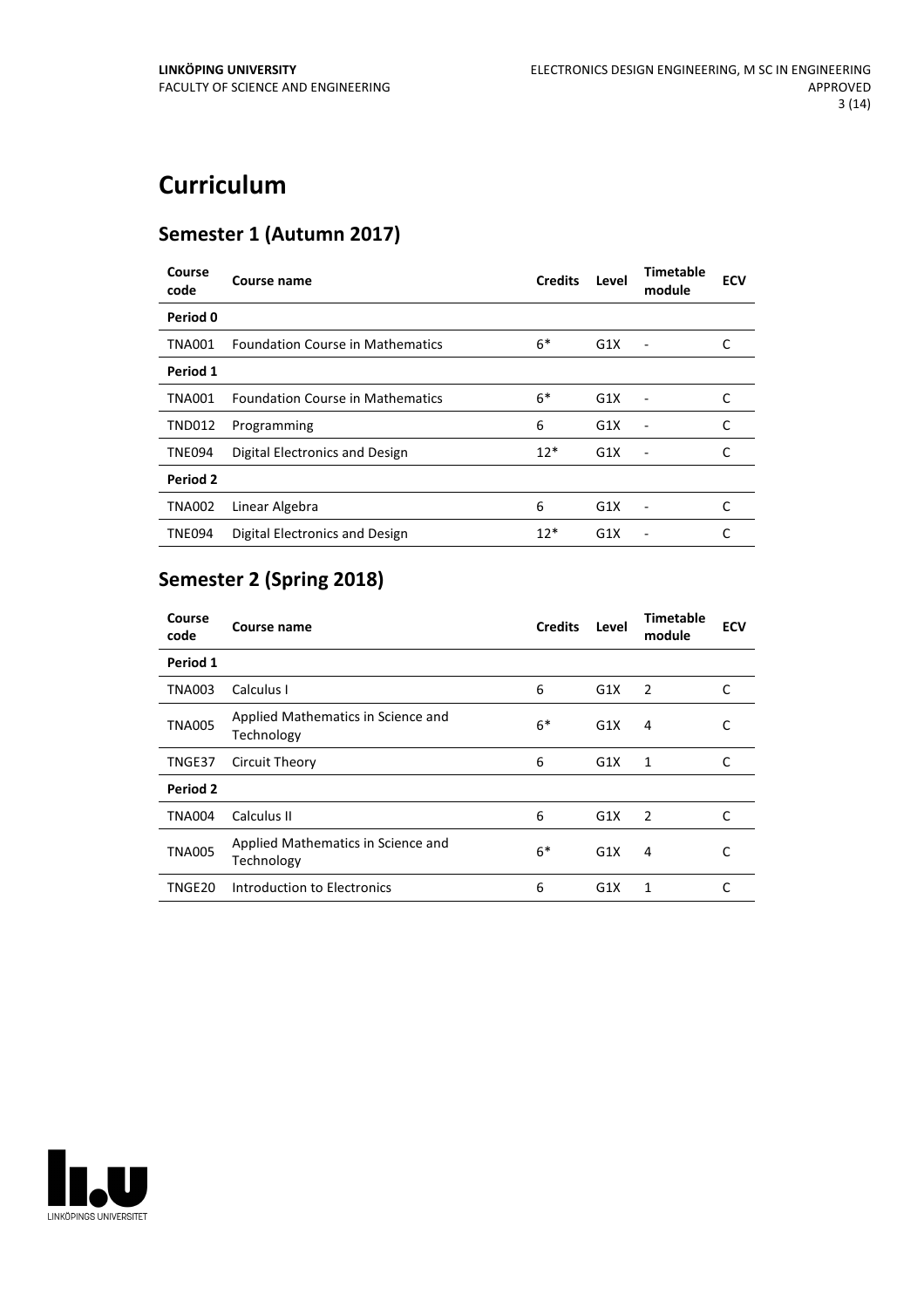# **Curriculum**

# **Semester 1 (Autumn 2017)**

| Course<br>code | Course name                             | <b>Credits</b> | Level | <b>Timetable</b><br>module   | <b>ECV</b> |
|----------------|-----------------------------------------|----------------|-------|------------------------------|------------|
| Period 0       |                                         |                |       |                              |            |
| <b>TNA001</b>  | <b>Foundation Course in Mathematics</b> | $6*$           | G1X   |                              | C          |
| Period 1       |                                         |                |       |                              |            |
| <b>TNA001</b>  | <b>Foundation Course in Mathematics</b> | $6*$           | G1X   |                              | C          |
| <b>TND012</b>  | Programming                             | 6              | G1X   |                              | C          |
| <b>TNE094</b>  | Digital Electronics and Design          | $12*$          | G1X   | $\qquad \qquad \blacksquare$ | C          |
| Period 2       |                                         |                |       |                              |            |
| <b>TNA002</b>  | Linear Algebra                          | 6              | G1X   |                              | C          |
| <b>TNE094</b>  | Digital Electronics and Design          | $12*$          | G1X   |                              |            |

# **Semester 2 (Spring 2018)**

| Course<br>code | Course name                                      | <b>Credits</b> | Level | Timetable<br>module | <b>ECV</b> |
|----------------|--------------------------------------------------|----------------|-------|---------------------|------------|
| Period 1       |                                                  |                |       |                     |            |
| <b>TNA003</b>  | Calculus I                                       | 6              | G1X   | 2                   | C          |
| <b>TNA005</b>  | Applied Mathematics in Science and<br>Technology | $6*$           | G1X   | 4                   | С          |
| TNGE37         | Circuit Theory                                   | 6              | G1X   | 1                   | C          |
| Period 2       |                                                  |                |       |                     |            |
| <b>TNA004</b>  | Calculus II                                      | 6              | G1X   | 2                   | C          |
| <b>TNA005</b>  | Applied Mathematics in Science and<br>Technology | $6*$           | G1X   | 4                   | С          |
| TNGE20         | Introduction to Electronics                      | 6              | G1X   | 1                   | C          |

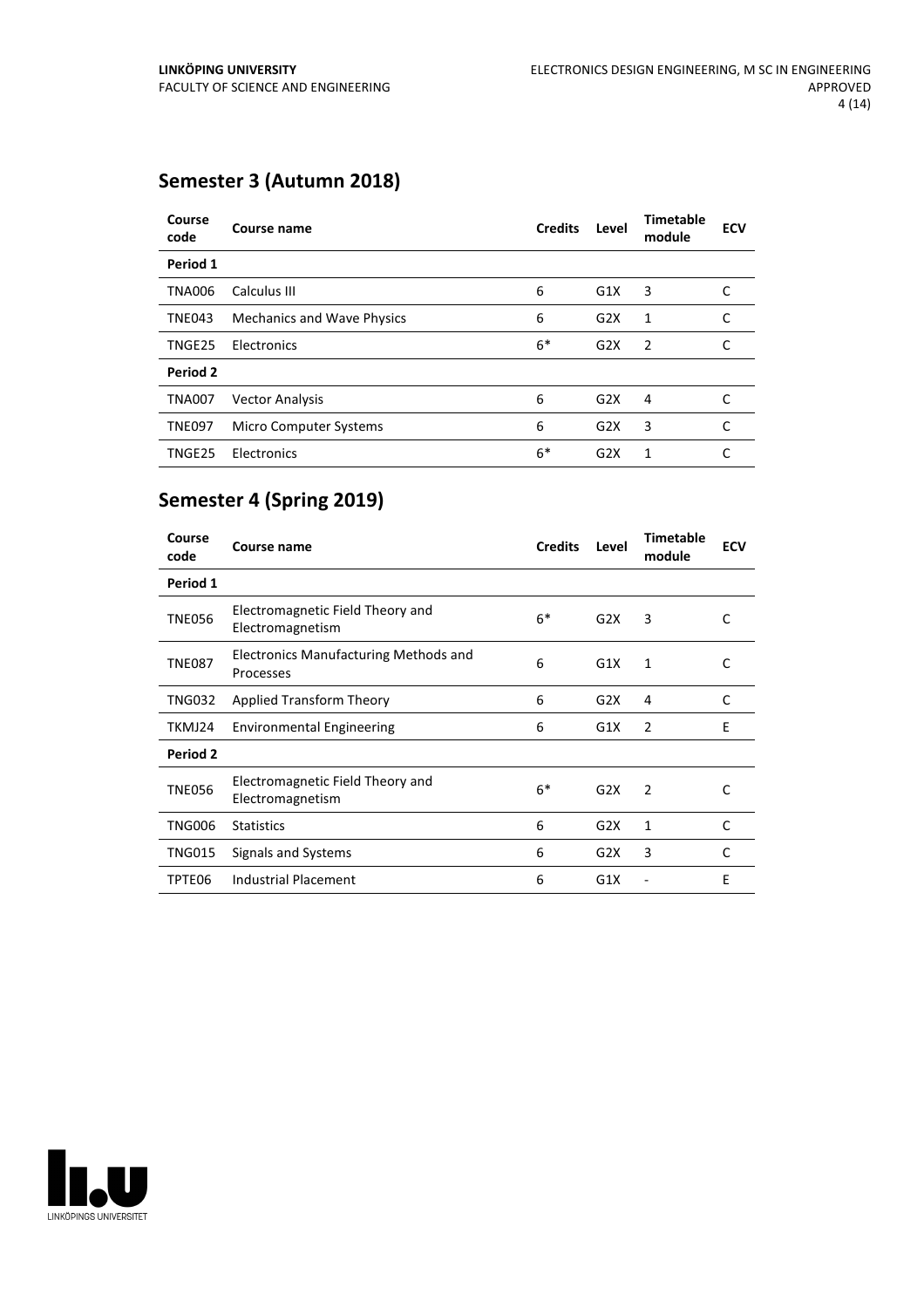# **Semester 3 (Autumn 2018)**

| Course<br>code | Course name                       | <b>Credits</b> | Level            | <b>Timetable</b><br>module | <b>ECV</b> |
|----------------|-----------------------------------|----------------|------------------|----------------------------|------------|
| Period 1       |                                   |                |                  |                            |            |
| <b>TNA006</b>  | Calculus III                      | 6              | G1X              | 3                          | C          |
| <b>TNE043</b>  | <b>Mechanics and Wave Physics</b> | 6              | G <sub>2</sub> X | 1                          | C          |
| TNGE25         | Electronics                       | $6*$           | G2X              | $\overline{2}$             | C          |
| Period 2       |                                   |                |                  |                            |            |
| <b>TNA007</b>  | <b>Vector Analysis</b>            | 6              | G <sub>2</sub> X | 4                          | C          |
| <b>TNE097</b>  | Micro Computer Systems            | 6              | G2X              | 3                          | C          |
| TNGE25         | Electronics                       | $6*$           | G2X              | 1                          | C          |

# **Semester 4 (Spring 2019)**

| Course<br>code  | Course name                                               | <b>Credits</b> | Level | <b>Timetable</b><br>module | <b>ECV</b>   |
|-----------------|-----------------------------------------------------------|----------------|-------|----------------------------|--------------|
| Period 1        |                                                           |                |       |                            |              |
| <b>TNE056</b>   | Electromagnetic Field Theory and<br>Electromagnetism      | $6*$           | G2X   | 3                          | C            |
| <b>TNE087</b>   | <b>Electronics Manufacturing Methods and</b><br>Processes | 6              | G1X   | 1                          | C            |
| <b>TNG032</b>   | Applied Transform Theory                                  | 6              | G2X   | 4                          | C            |
| TKMJ24          | <b>Environmental Engineering</b>                          | 6              | G1X   | 2                          | F            |
| <b>Period 2</b> |                                                           |                |       |                            |              |
| <b>TNE056</b>   | Electromagnetic Field Theory and<br>Electromagnetism      | $6*$           | G2X   | 2                          | C            |
| <b>TNG006</b>   | <b>Statistics</b>                                         | 6              | G2X   | 1                          | $\mathsf{C}$ |
| <b>TNG015</b>   | Signals and Systems                                       | 6              | G2X   | 3                          | $\mathsf{C}$ |
| TPTE06          | Industrial Placement                                      | 6              | G1X   |                            | E            |

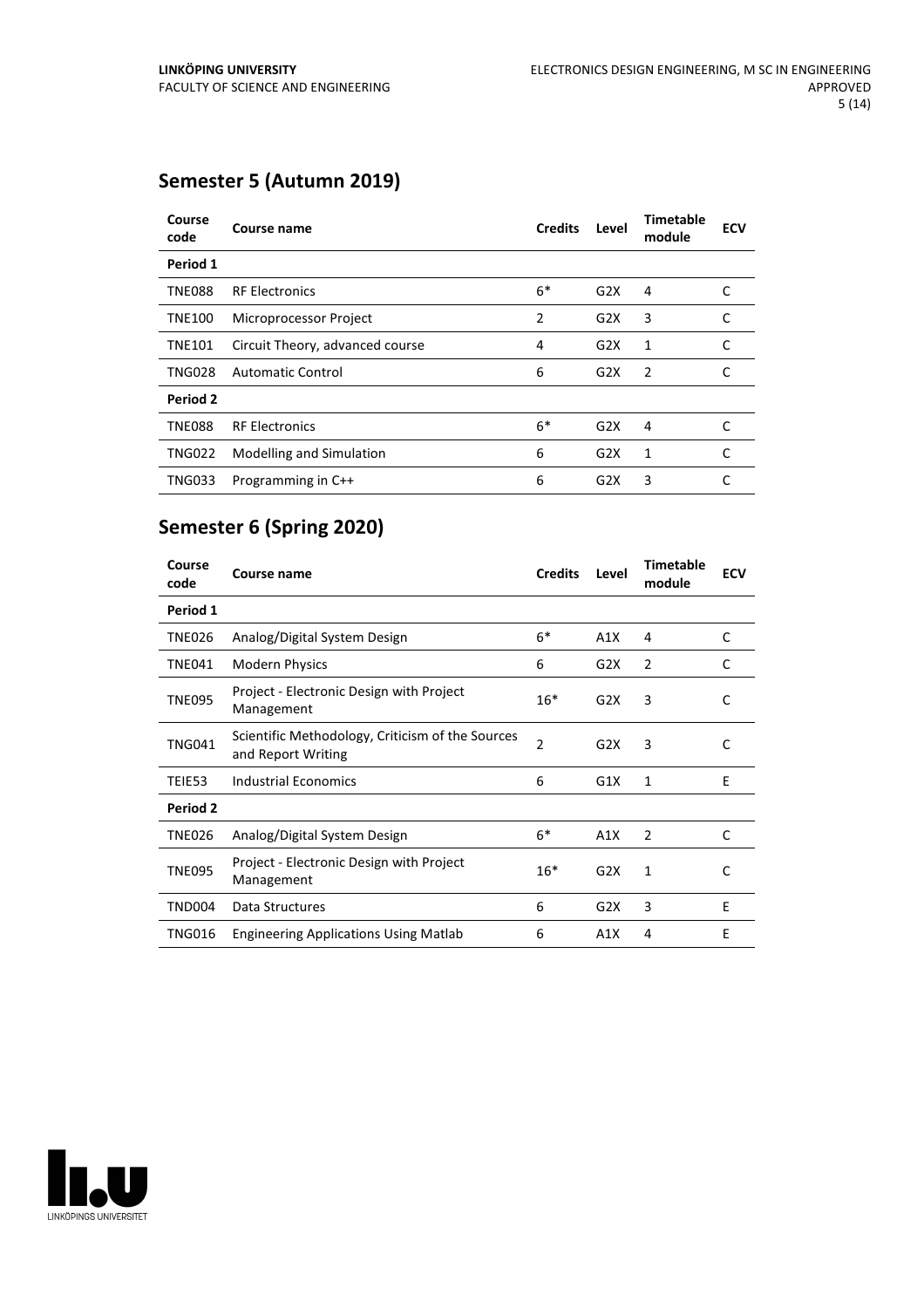# **Semester 5 (Autumn 2019)**

| Course<br>code | Course name                     | <b>Credits</b> | Level | Timetable<br>module | <b>ECV</b> |
|----------------|---------------------------------|----------------|-------|---------------------|------------|
| Period 1       |                                 |                |       |                     |            |
| <b>TNE088</b>  | <b>RF Electronics</b>           | $6*$           | G2X   | 4                   | C          |
| <b>TNE100</b>  | Microprocessor Project          | 2              | G2X   | 3                   | C          |
| <b>TNE101</b>  | Circuit Theory, advanced course | 4              | G2X   | 1                   | C          |
| <b>TNG028</b>  | <b>Automatic Control</b>        | 6              | G2X   | $\overline{2}$      |            |
| Period 2       |                                 |                |       |                     |            |
| <b>TNE088</b>  | <b>RF Electronics</b>           | $6*$           | G2X   | 4                   | C          |
| <b>TNG022</b>  | Modelling and Simulation        | 6              | G2X   | 1                   | C          |
| <b>TNG033</b>  | Programming in C++              | 6              | G2X   | 3                   | C          |

# **Semester 6 (Spring 2020)**

| Course<br>code | Course name                                                            | <b>Credits</b> | Level | <b>Timetable</b><br>module | <b>ECV</b> |
|----------------|------------------------------------------------------------------------|----------------|-------|----------------------------|------------|
| Period 1       |                                                                        |                |       |                            |            |
| <b>TNE026</b>  | Analog/Digital System Design                                           | $6*$           | A1X   | 4                          | C          |
| <b>TNE041</b>  | <b>Modern Physics</b>                                                  | 6              | G2X   | 2                          | C          |
| <b>TNE095</b>  | Project - Electronic Design with Project<br>Management                 | $16*$          | G2X   | 3                          | C          |
| <b>TNG041</b>  | Scientific Methodology, Criticism of the Sources<br>and Report Writing | $\overline{2}$ | G2X   | 3                          | C          |
| TEIE53         | <b>Industrial Economics</b>                                            | 6              | G1X   | 1                          | F          |
| Period 2       |                                                                        |                |       |                            |            |
| <b>TNE026</b>  | Analog/Digital System Design                                           | $6*$           | A1X   | 2                          | C          |
| <b>TNE095</b>  | Project - Electronic Design with Project<br>Management                 | $16*$          | G2X   | $\mathbf{1}$               | C          |
| <b>TND004</b>  | Data Structures                                                        | 6              | G2X   | 3                          | E          |
| TNG016         | <b>Engineering Applications Using Matlab</b>                           | 6              | A1X   | 4                          | E          |

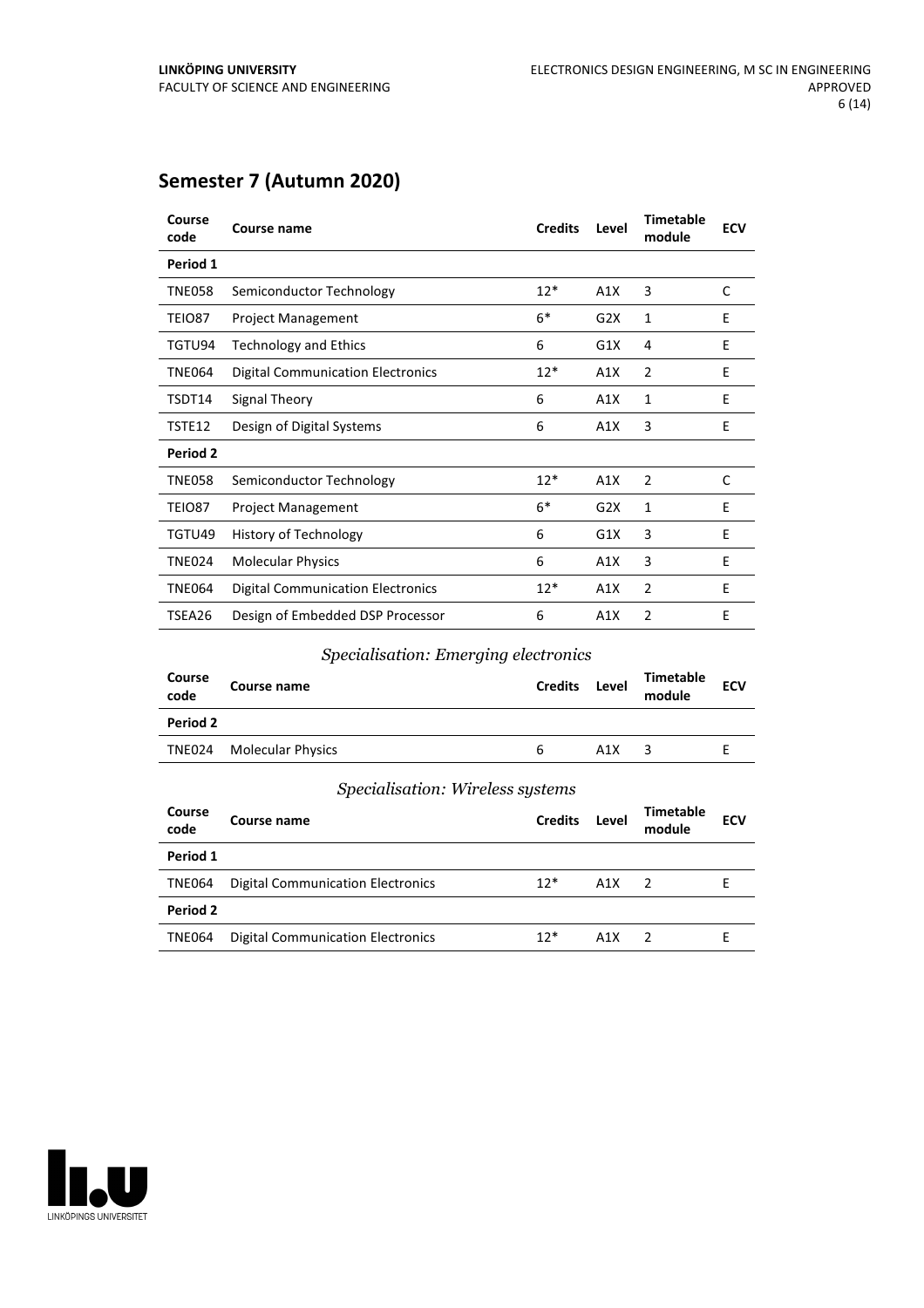# **Semester 7 (Autumn 2020)**

| Course<br>code | Course name                              | <b>Credits</b> | Level | <b>Timetable</b><br>module | <b>ECV</b> |
|----------------|------------------------------------------|----------------|-------|----------------------------|------------|
| Period 1       |                                          |                |       |                            |            |
| <b>TNE058</b>  | Semiconductor Technology                 | $12*$          | A1X   | 3                          | C          |
| TEIO87         | <b>Project Management</b>                | $6*$           | G2X   | 1                          | E          |
| TGTU94         | <b>Technology and Ethics</b>             | 6              | G1X   | 4                          | E          |
| <b>TNE064</b>  | <b>Digital Communication Electronics</b> | $12*$          | A1X   | $\overline{2}$             | E          |
| TSDT14         | Signal Theory                            | 6              | A1X   | 1                          | Ε          |
| TSTE12         | Design of Digital Systems                | 6              | A1X   | 3                          | Ε          |
| Period 2       |                                          |                |       |                            |            |
| <b>TNE058</b>  | Semiconductor Technology                 | $12*$          | A1X   | $\overline{2}$             | C          |
| TEIO87         | <b>Project Management</b>                | $6*$           | G2X   | 1                          | E          |
| TGTU49         | History of Technology                    | 6              | G1X   | 3                          | Ε          |
| <b>TNE024</b>  | <b>Molecular Physics</b>                 | 6              | A1X   | 3                          | E          |
| <b>TNE064</b>  | <b>Digital Communication Electronics</b> | $12*$          | A1X   | $\overline{2}$             | E          |
| TSEA26         | Design of Embedded DSP Processor         | 6              | A1X   | $\overline{2}$             | E          |

#### *Specialisation: Emerging electronics*

| Course<br>code | Course name              | <b>Credits</b> | Level | Timetable<br>module | <b>ECV</b> |
|----------------|--------------------------|----------------|-------|---------------------|------------|
| Period 2       |                          |                |       |                     |            |
|                | TNE024 Molecular Physics | 6              | A1X   | 3                   |            |
|                |                          |                |       |                     |            |

#### *Specialisation: Wireless systems*

| Course<br>code | Course name                              | <b>Credits</b> | Level | Timetable<br>module | <b>ECV</b> |
|----------------|------------------------------------------|----------------|-------|---------------------|------------|
| Period 1       |                                          |                |       |                     |            |
| <b>TNE064</b>  | <b>Digital Communication Electronics</b> | $12*$          | A1X   | $\mathcal{L}$       |            |
| Period 2       |                                          |                |       |                     |            |
| <b>TNE064</b>  | <b>Digital Communication Electronics</b> | $12*$          | A1X   | $\overline{z}$      | ۲          |

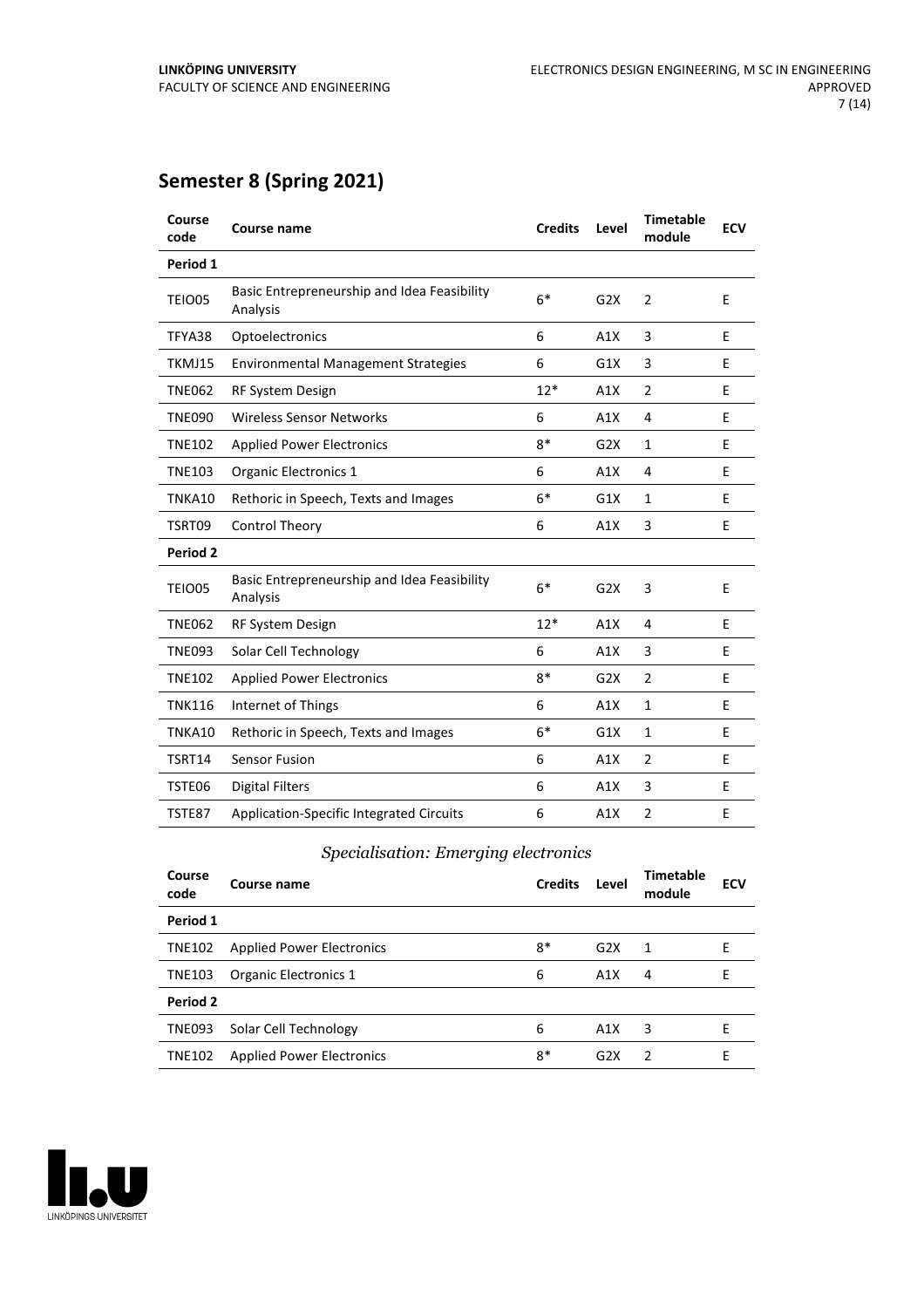# **Semester 8 (Spring 2021)**

| Course<br>code  | <b>Course name</b>                                      | <b>Credits</b> | Level | <b>Timetable</b><br>module | <b>ECV</b> |
|-----------------|---------------------------------------------------------|----------------|-------|----------------------------|------------|
| Period 1        |                                                         |                |       |                            |            |
| <b>TEIO05</b>   | Basic Entrepreneurship and Idea Feasibility<br>Analysis | $6*$           | G2X   | $\overline{2}$             | E          |
| TFYA38          | Optoelectronics                                         | 6              | A1X   | 3                          | E          |
| TKMJ15          | <b>Environmental Management Strategies</b>              | 6              | G1X   | 3                          | E          |
| <b>TNE062</b>   | RF System Design                                        | $12*$          | A1X   | $\overline{2}$             | E          |
| <b>TNE090</b>   | Wireless Sensor Networks                                | 6              | A1X   | 4                          | E          |
| <b>TNE102</b>   | <b>Applied Power Electronics</b>                        | $8*$           | G2X   | $\mathbf{1}$               | E          |
| <b>TNE103</b>   | Organic Electronics 1                                   | 6              | A1X   | 4                          | E          |
| TNKA10          | Rethoric in Speech, Texts and Images                    | $6*$           | G1X   | $\mathbf{1}$               | E          |
| TSRT09          | <b>Control Theory</b>                                   | 6              | A1X   | 3                          | E          |
| <b>Period 2</b> |                                                         |                |       |                            |            |
| TEIO05          | Basic Entrepreneurship and Idea Feasibility<br>Analysis | $6*$           | G2X   | 3                          | E          |
| <b>TNE062</b>   | RF System Design                                        | $12*$          | A1X   | 4                          | E          |
| <b>TNE093</b>   | Solar Cell Technology                                   | 6              | A1X   | 3                          | E          |
| <b>TNE102</b>   | <b>Applied Power Electronics</b>                        | $8*$           | G2X   | $\overline{2}$             | E          |
| <b>TNK116</b>   | Internet of Things                                      | 6              | A1X   | $\mathbf{1}$               | E          |
| TNKA10          | Rethoric in Speech, Texts and Images                    | $6*$           | G1X   | $\mathbf{1}$               | E          |
| TSRT14          | <b>Sensor Fusion</b>                                    | 6              | A1X   | $\overline{2}$             | E          |
| TSTE06          | Digital Filters                                         | 6              | A1X   | 3                          | E          |
| TSTE87          | <b>Application-Specific Integrated Circuits</b>         | 6              | A1X   | $\overline{2}$             | E          |

### *Specialisation: Emerging electronics*

| Course<br>code | Course name                      | <b>Credits</b> | Level | <b>Timetable</b><br>module | <b>ECV</b> |
|----------------|----------------------------------|----------------|-------|----------------------------|------------|
| Period 1       |                                  |                |       |                            |            |
| <b>TNE102</b>  | <b>Applied Power Electronics</b> | $8*$           | G2X   | 1                          | F          |
| <b>TNE103</b>  | Organic Electronics 1            | 6              | A1X   | 4                          | F          |
| Period 2       |                                  |                |       |                            |            |
| <b>TNE093</b>  | Solar Cell Technology            | 6              | A1X   | 3                          | F          |
| <b>TNE102</b>  | <b>Applied Power Electronics</b> | $8*$           | G2X   | $\overline{2}$             | F          |

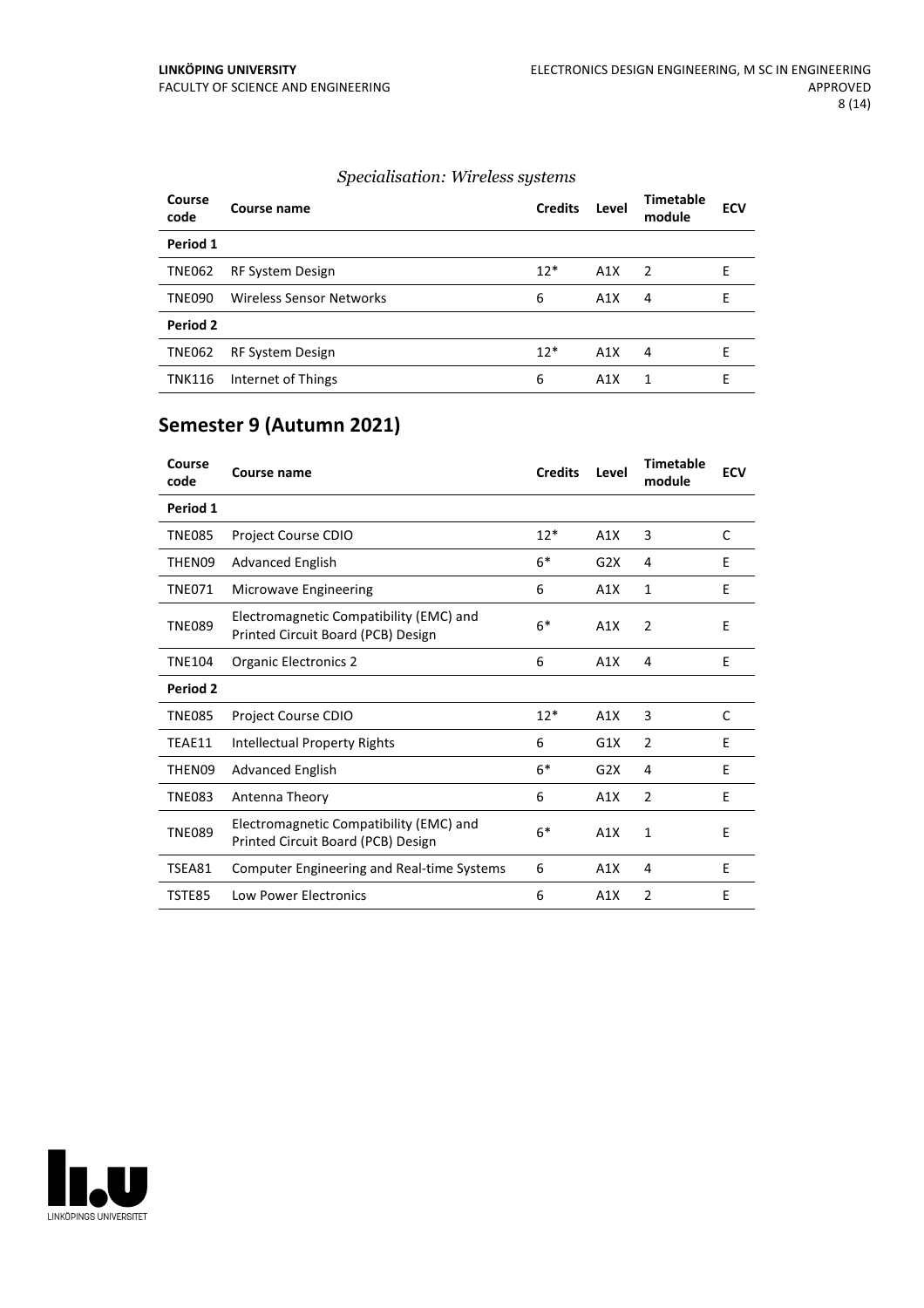#### *Specialisation: Wireless systems*

| <b>Course</b><br>code | Course name              | <b>Credits</b> | Level | <b>Timetable</b><br>module | <b>ECV</b> |
|-----------------------|--------------------------|----------------|-------|----------------------------|------------|
| Period 1              |                          |                |       |                            |            |
| <b>TNE062</b>         | <b>RF System Design</b>  | $12*$          | A1X   | $\mathcal{L}$              | E          |
| <b>TNE090</b>         | Wireless Sensor Networks | 6              | A1X   | 4                          | E          |
| Period 2              |                          |                |       |                            |            |
| <b>TNE062</b>         | <b>RF System Design</b>  | $12*$          | A1X   | 4                          | E          |
| <b>TNK116</b>         | Internet of Things       | 6              | A1X   | 1                          | Е          |

# **Semester 9 (Autumn 2021)**

| Course<br>code | Course name                                                                   | <b>Credits</b> | Level | <b>Timetable</b><br>module | <b>ECV</b> |
|----------------|-------------------------------------------------------------------------------|----------------|-------|----------------------------|------------|
| Period 1       |                                                                               |                |       |                            |            |
| <b>TNE085</b>  | Project Course CDIO                                                           | $12*$          | A1X   | 3                          | C          |
| THEN09         | <b>Advanced English</b>                                                       | $6*$           | G2X   | 4                          | E          |
| <b>TNE071</b>  | <b>Microwave Engineering</b>                                                  | 6              | A1X   | 1                          | E          |
| <b>TNE089</b>  | Electromagnetic Compatibility (EMC) and<br>Printed Circuit Board (PCB) Design | $6*$           | A1X   | 2                          | E          |
| <b>TNE104</b>  | <b>Organic Electronics 2</b>                                                  | 6              | A1X   | 4                          | E          |
| Period 2       |                                                                               |                |       |                            |            |
| <b>TNE085</b>  | <b>Project Course CDIO</b>                                                    | $12*$          | A1X   | 3                          | C          |
| TEAE11         | Intellectual Property Rights                                                  | 6              | G1X   | $\overline{2}$             | E          |
| THEN09         | <b>Advanced English</b>                                                       | $6*$           | G2X   | 4                          | E          |
| <b>TNE083</b>  | Antenna Theory                                                                | 6              | A1X   | $\overline{2}$             | E          |
| <b>TNE089</b>  | Electromagnetic Compatibility (EMC) and<br>Printed Circuit Board (PCB) Design | $6*$           | A1X   | 1                          | E          |
| TSEA81         | <b>Computer Engineering and Real-time Systems</b>                             | 6              | A1X   | 4                          | E          |
| TSTE85         | <b>Low Power Electronics</b>                                                  | 6              | A1X   | $\overline{2}$             | E          |

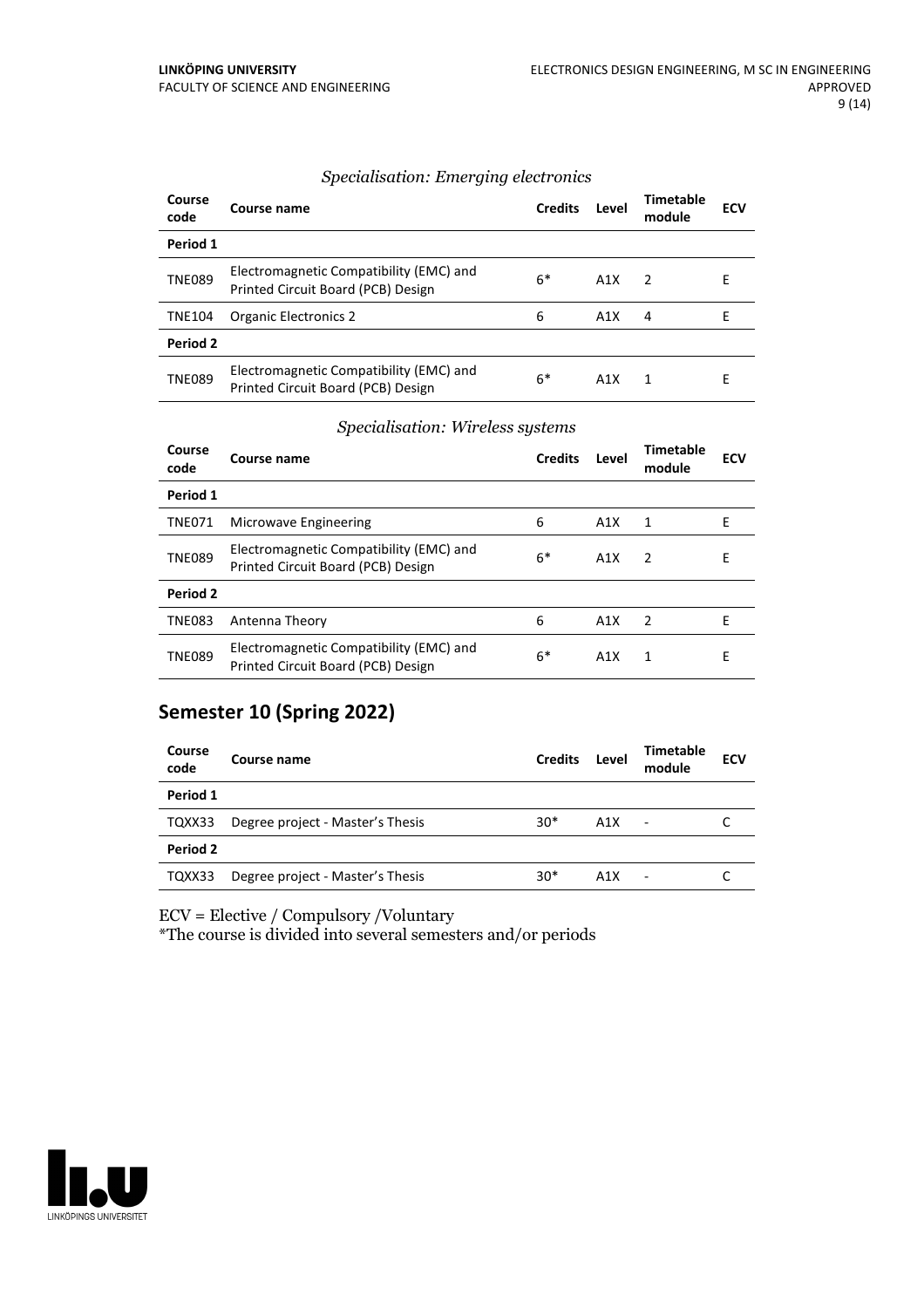| Course<br>code | Course name                                                                   | <b>Credits</b> | Level            | <b>Timetable</b><br>module | <b>ECV</b> |
|----------------|-------------------------------------------------------------------------------|----------------|------------------|----------------------------|------------|
| Period 1       |                                                                               |                |                  |                            |            |
| <b>TNE089</b>  | Electromagnetic Compatibility (EMC) and<br>Printed Circuit Board (PCB) Design | $6*$           | A1X              | $\overline{z}$             | E          |
| <b>TNE104</b>  | <b>Organic Electronics 2</b>                                                  | 6              | A1X              | 4                          | F          |
| Period 2       |                                                                               |                |                  |                            |            |
| <b>TNE089</b>  | Electromagnetic Compatibility (EMC) and<br>Printed Circuit Board (PCB) Design | 6*             | A <sub>1</sub> X | 1                          | Е          |

#### *Specialisation: Emerging electronics*

#### *Specialisation: Wireless systems*

| Course<br>code | Course name                                                                   | <b>Credits</b> | Level            | Timetable<br>module | <b>ECV</b> |
|----------------|-------------------------------------------------------------------------------|----------------|------------------|---------------------|------------|
| Period 1       |                                                                               |                |                  |                     |            |
| <b>TNE071</b>  | Microwave Engineering                                                         | 6              | A <sub>1</sub> X | 1                   | Е          |
| <b>TNE089</b>  | Electromagnetic Compatibility (EMC) and<br>Printed Circuit Board (PCB) Design | $6*$           | A1X              | $\mathcal{P}$       | E          |
| Period 2       |                                                                               |                |                  |                     |            |
| <b>TNE083</b>  | Antenna Theory                                                                | 6              | A1X              | $\mathcal{P}$       | F          |
| <b>TNE089</b>  | Electromagnetic Compatibility (EMC) and<br>Printed Circuit Board (PCB) Design | $6*$           | A1X              | 1                   | E          |

# **Semester 10 (Spring 2022)**

| Course name                      | <b>Credits</b> | Level | Timetable<br>module      | <b>ECV</b> |
|----------------------------------|----------------|-------|--------------------------|------------|
|                                  |                |       |                          |            |
| Degree project - Master's Thesis | $30*$          | A1X   | $\overline{\phantom{a}}$ |            |
|                                  |                |       |                          |            |
| Degree project - Master's Thesis | $30*$          | A1X   |                          |            |
|                                  |                |       |                          |            |

ECV = Elective / Compulsory /Voluntary

\*The course is divided into several semesters and/or periods

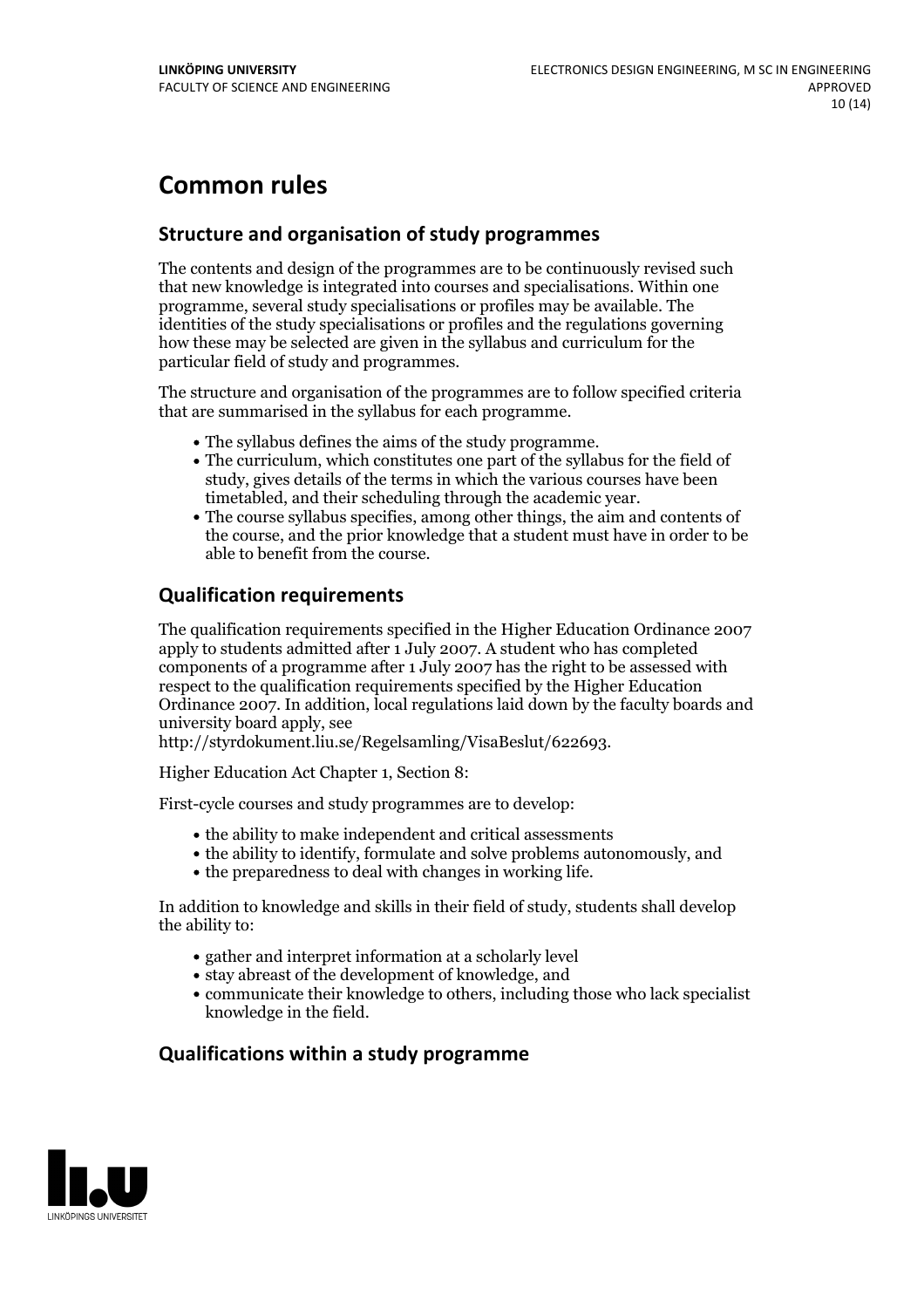# **Common rules**

### **Structure and organisation of study programmes**

The contents and design of the programmes are to be continuously revised such that new knowledge is integrated into courses and specialisations. Within one programme, several study specialisations or profiles may be available. The identities of the study specialisations or profiles and the regulations governing how these may be selected are given in the syllabus and curriculum for the particular field of study and programmes.

The structure and organisation of the programmes are to follow specified criteria that are summarised in the syllabus for each programme.

- 
- The syllabus defines the aims of the study programme.<br>• The curriculum, which constitutes one part of the syllabus for the field of study, gives details of the terms in which the various courses have been
- timetabled, and their scheduling through the academic year.<br>• The course syllabus specifies, among other things, the aim and contents of the course, and the prior knowledge that a student must have in order to be able to benefit from the course.

## **Qualification requirements**

The qualification requirements specified in the Higher Education Ordinance 2007 apply to students admitted after 1 July 2007. A student who has completed components of a programme after 1 July 2007 has the right to be assessed with respect to the qualification requirements specified by the Higher Education Ordinance 2007. In addition, local regulations laid down by the faculty boards and university board apply, see

http://styrdokument.liu.se/Regelsamling/VisaBeslut/622693.

Higher Education Act Chapter 1, Section 8:

First-cycle courses and study programmes are to develop:

- the ability to make independent and critical assessments
- the ability to identify, formulate and solve problems autonomously, and
- the preparedness to deal with changes in working life.

In addition to knowledge and skills in their field of study, students shall develop the ability to:

- gather and interpret information at a scholarly level
- stay abreast of the development of knowledge, and
- communicate their knowledge to others, including those who lack specialist knowledge in the field.

## **Qualifications within a study programme**

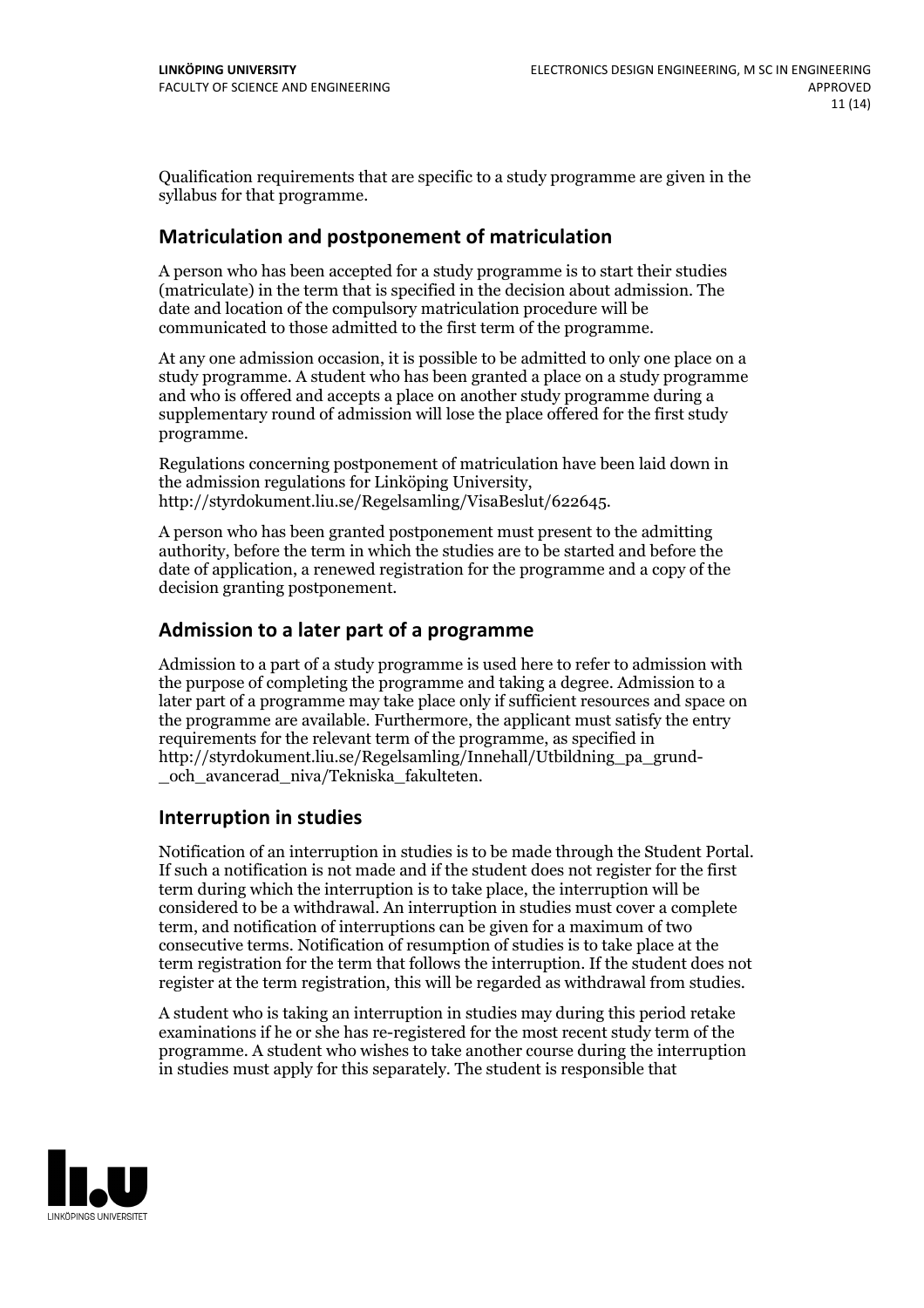Qualification requirements that are specific to a study programme are given in the syllabus for that programme.

#### **Matriculation and postponement of matriculation**

A person who has been accepted for a study programme is to start their studies (matriculate) in the term that is specified in the decision about admission. The date and location of the compulsory matriculation procedure will be communicated to those admitted to the first term of the programme.

At any one admission occasion, it is possible to be admitted to only one place on a study programme. A student who has been granted a place on a study programme and who is offered and accepts a place on another study programme during a supplementary round of admission will lose the place offered for the first study programme.

Regulations concerning postponement of matriculation have been laid down in the admission regulations for Linköping University, http://styrdokument.liu.se/Regelsamling/VisaBeslut/622645.

A person who has been granted postponement must present to the admitting authority, before the term in which the studies are to be started and before the date of application, a renewed registration for the programme and a copy of the decision granting postponement.

#### **Admission to a later part of a programme**

Admission to a part of a study programme is used here to refer to admission with the purpose of completing the programme and taking a degree. Admission to a later part of a programme may take place only if sufficient resources and space on the programme are available. Furthermore, the applicant must satisfy the entry requirements for the relevant term of the programme, as specified in http://styrdokument.liu.se/Regelsamling/Innehall/Utbildning\_pa\_grund- \_och\_avancerad\_niva/Tekniska\_fakulteten.

#### **Interruption in studies**

Notification of an interruption in studies is to be made through the Student Portal. If such <sup>a</sup> notification is not made and if the student does not register for the first term during which the interruption is to take place, the interruption will be considered to be a withdrawal. An interruption in studies must cover a complete term, and notification of interruptions can be given for a maximum of two consecutive terms. Notification of resumption of studies is to take place at the term registration for the term that follows the interruption. If the student does not register at the term registration, this will be regarded as withdrawal from studies.

A student who is taking an interruption in studies may during this period retake examinations if he or she has re-registered for the most recent study term of the programme. A student who wishes to take another course during the interruption in studies must apply for this separately. The student is responsible that

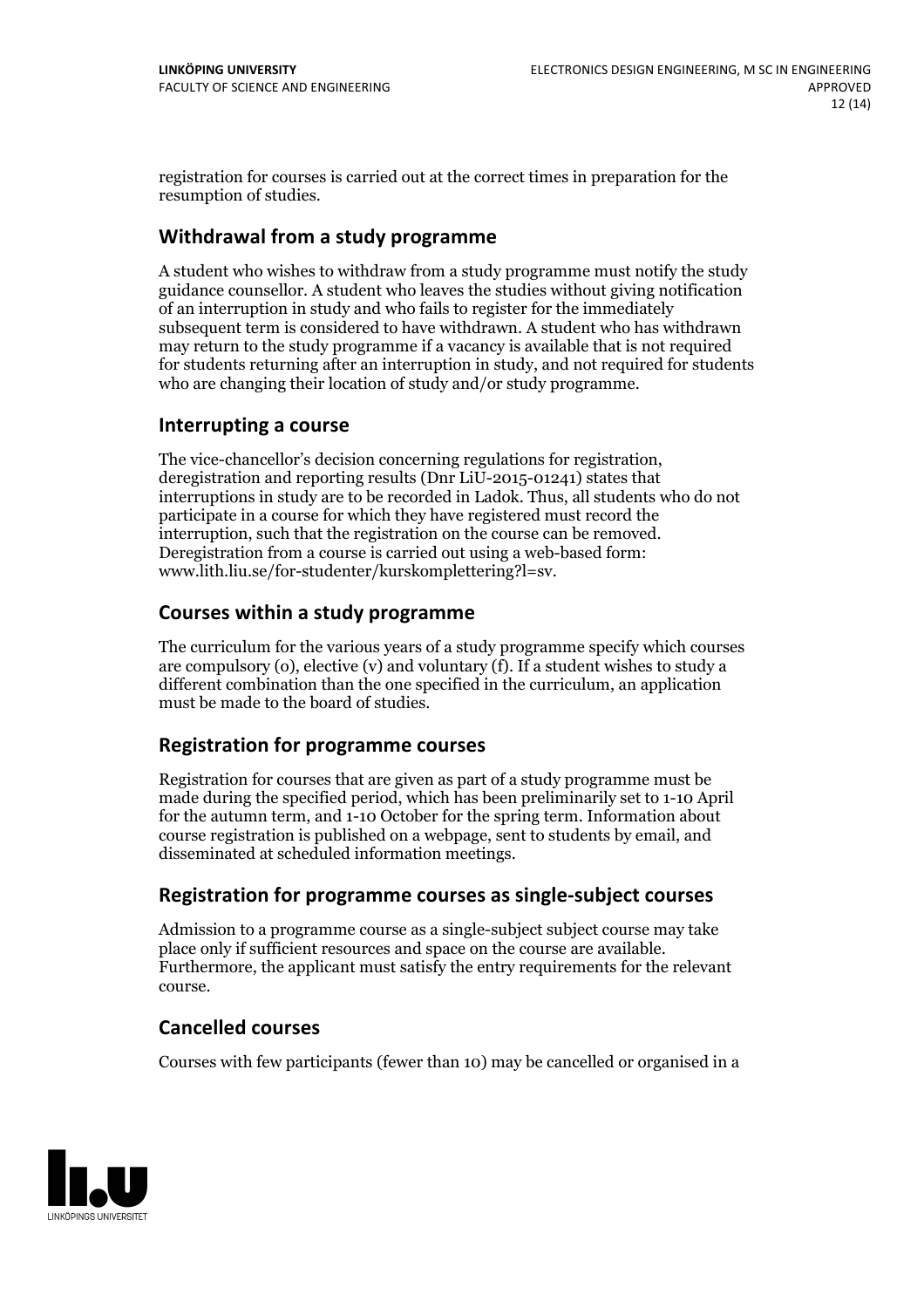registration for courses is carried outat the correct times in preparation for the resumption of studies.

### **Withdrawal from a study programme**

A student who wishes to withdraw from a study programme must notify the study guidance counsellor. A student who leaves the studies without giving notification of an interruption in study and who fails to register for the immediately subsequent term is considered to have withdrawn. A student who has withdrawn may return to the study programme if a vacancy is available that is not required for students returning after an interruption in study, and not required for students who are changing their location of study and/or study programme.

#### **Interrupting a course**

The vice-chancellor's decision concerning regulations for registration, deregistration and reporting results (Dnr LiU-2015-01241) states that interruptions in study are to be recorded in Ladok. Thus, all students who do not participate in a course for which they have registered must record the interruption, such that the registration on the course can be removed. Deregistration from <sup>a</sup> course is carried outusing <sup>a</sup> web-based form: www.lith.liu.se/for-studenter/kurskomplettering?l=sv.

#### **Courses within a study programme**

The curriculum for the various years of a study programme specify which courses are compulsory (o), elective (v) and voluntary (f). If a student wishes to study a different combination than the one specified in the curriculum, an application must be made to the board of studies.

#### **Registration for programme courses**

Registration for courses that are given as part of a study programme must be made during the specified period, which has been preliminarily set to 1-10 April for the autumn term, and 1-10 October for the spring term. Information about course registration is published on a webpage, sent to students by email, and disseminated at scheduled information meetings.

#### **Registration for programme courses as single-subject courses**

Admission to a programme course as a single-subject subject course may take place only if sufficient resources and space on the course are available. Furthermore, the applicant must satisfy the entry requirements for the relevant course.

#### **Cancelled courses**

Courses with few participants (fewer than 10) may be cancelled or organised in a

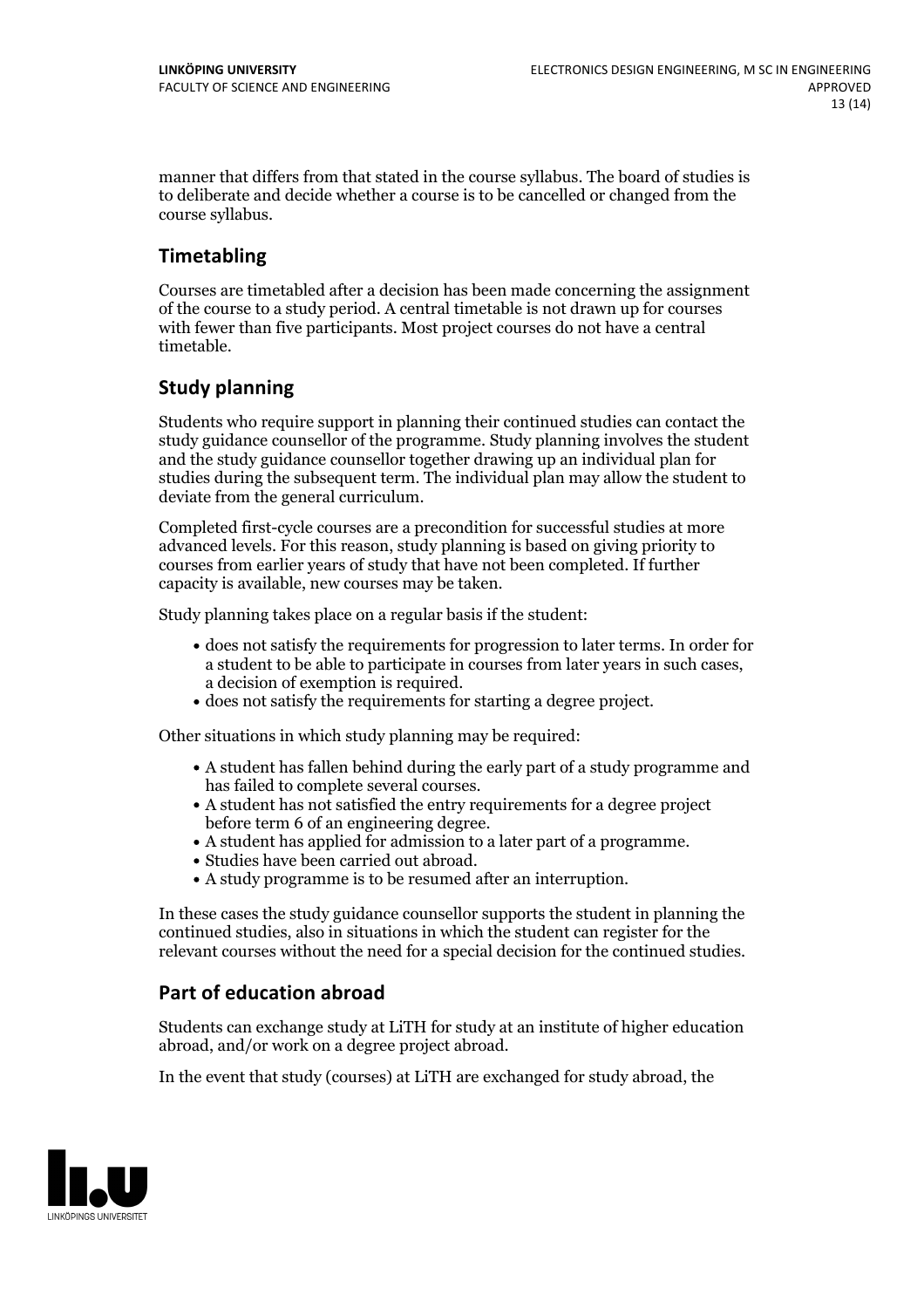manner that differs from that stated in the course syllabus. The board of studies is to deliberate and decide whether a course is to be cancelled orchanged from the course syllabus.

# **Timetabling**

Courses are timetabled after a decision has been made concerning the assignment of the course to a study period. A central timetable is not drawn up for courses with fewer than five participants. Most project courses do not have a central timetable.

# **Study planning**

Students who require support in planning their continued studies can contact the study guidance counsellor of the programme. Study planning involves the student and the study guidance counsellor together drawing up an individual plan for studies during the subsequent term. The individual plan may allow the student to deviate from the general curriculum.

Completed first-cycle courses are a precondition for successful studies at more advanced levels. For this reason, study planning is based on giving priority to courses from earlier years of study that have not been completed. If further capacity is available, new courses may be taken.

Study planning takes place on a regular basis if the student:

- does not satisfy the requirements for progression to later terms. In order for a student to be able to participate in courses from later years in such cases, a decision of exemption is required.<br>
• does not satisfy the requirements for starting a degree project.
- 

Other situations in which study planning may be required:

- A student has fallen behind during the early part of a study programme and
- has failed to complete several courses.<br>• A student has not satisfied the entry requirements for a degree project
- before term 6 of an engineering degree.<br>
 A student has applied for admission to a later part of a programme.<br>
 Studies have been carried out abroad.<br>
 A study programme is to be resumed after an interruption.
- 
- 

In these cases the study guidance counsellor supports the student in planning the continued studies, also in situations in which the student can register for the relevant courses without the need for a special decision for the continued studies.

# **Part of education abroad**

Students can exchange study at LiTH for study at an institute of higher education abroad, and/or work on a degree project abroad.

In the event that study (courses) at LiTH are exchanged for study abroad, the